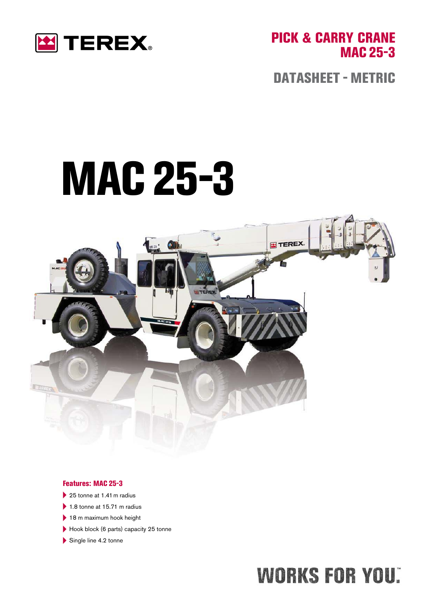

PICK & CARRY CRANE MAC 25-3

DATASHEET - METRIC

# MAC25-3



#### Features: MAC 25-3

- $\blacktriangleright$  25 tonne at 1.41 m radius
- $\blacktriangleright$  1.8 tonne at 15.71 m radius
- $\blacktriangleright$  18 m maximum hook height
- Hook block (6 parts) capacity 25 tonne
- $\blacktriangleright$  Single line 4.2 tonne

## **WORKS FOR YOU:**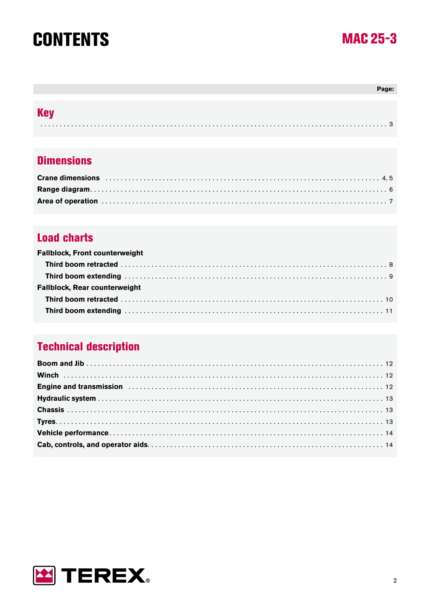## **CONTENTS**



### Page: **Key**

### **Dimensions**

| Area of operation with the contract of the contract of the contract of the contract of the contract of the contract of the contract of the contract of the contract of the contract of the contract of the contract of the con |  |
|--------------------------------------------------------------------------------------------------------------------------------------------------------------------------------------------------------------------------------|--|

### **Load charts**

| <b>Fallblock, Front counterweight</b> |  |
|---------------------------------------|--|
|                                       |  |
|                                       |  |
| <b>Fallblock, Rear counterweight</b>  |  |
|                                       |  |
|                                       |  |

## **Technical description**

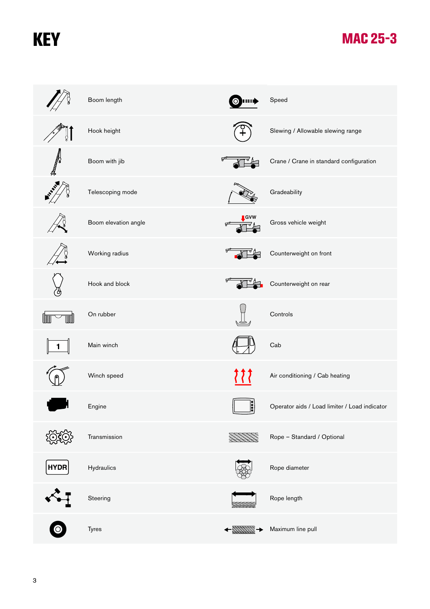## **KEY**

|             | Boom length          | Ю.                          | Speed                                         |
|-------------|----------------------|-----------------------------|-----------------------------------------------|
| Q.          | Hook height          |                             | Slewing / Allowable slewing range             |
| A           | Boom with jib        | ᡒ                           | Crane / Crane in standard configuration       |
|             | Telescoping mode     |                             | Gradeability                                  |
|             | Boom elevation angle | GVW<br>ᡒ                    | Gross vehicle weight                          |
|             | Working radius       | ᡇ                           | Counterweight on front                        |
|             | Hook and block       | ᡒ                           | Counterweight on rear                         |
|             | On rubber            |                             | Controls                                      |
| 1           | Main winch           |                             | Cab                                           |
|             | Winch speed          | ? ? ?                       | Air conditioning / Cab heating                |
|             | Engine               | $\left \ddot{\cdot}\right $ | Operator aids / Load limiter / Load indicator |
|             | Transmission         |                             | Rope - Standard / Optional                    |
| <b>HYDR</b> | Hydraulics           |                             | Rope diameter                                 |
|             | Steering             |                             | Rope length                                   |
|             | Tyres                |                             | Maximum line pull                             |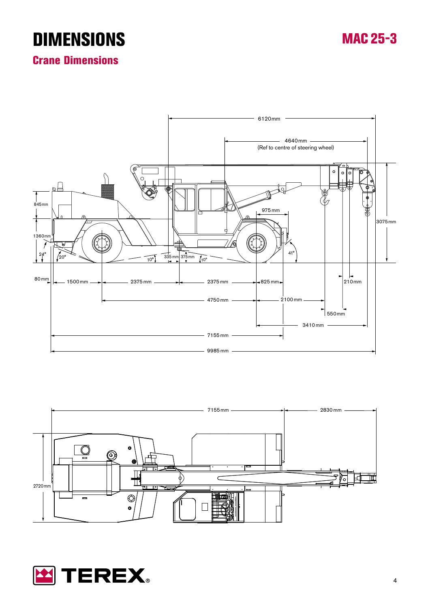## **DIMENSIONS**

## MAC 25-3

Crane Dimensions





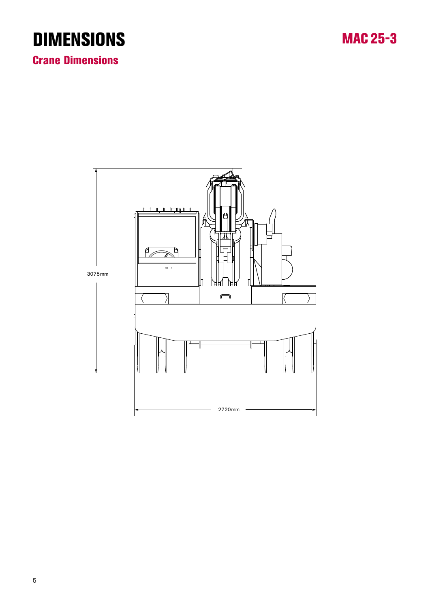## **DIMENSIONS**

MAC 25-3

Crane Dimensions

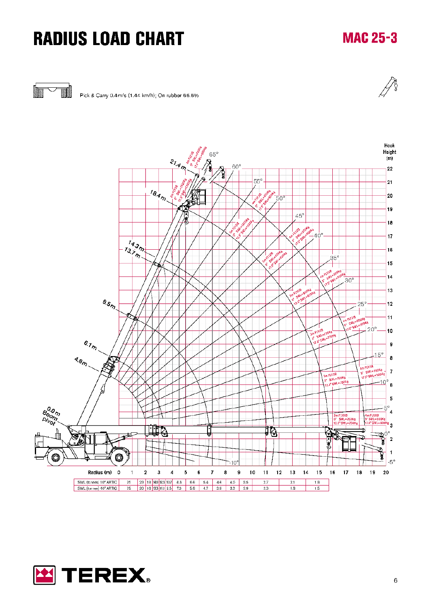## **RADIUS LOAD CHART**

## **MAC 25-3**



Pick & Carry 0.4m/s (1.44 km/h); On rubber 66.6%





6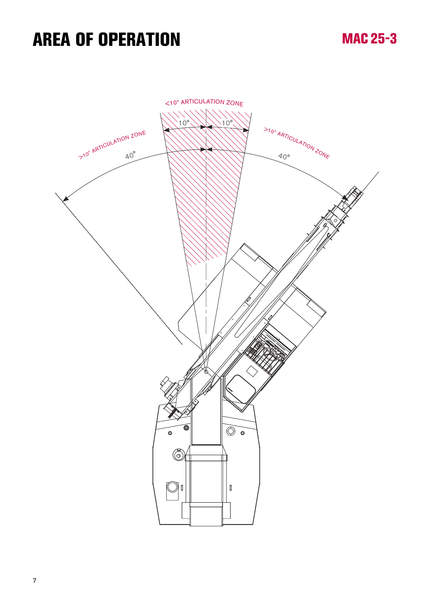## AREA OF OPERATION

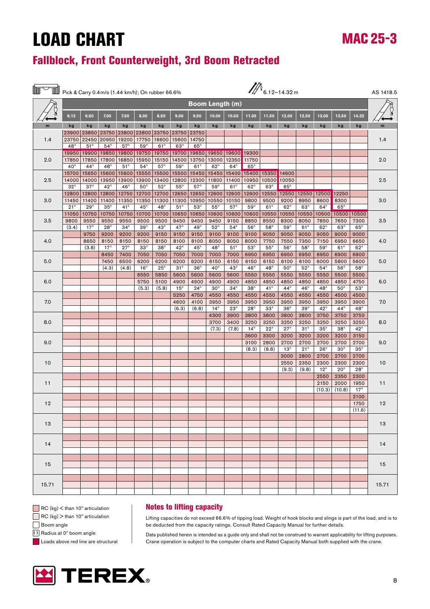### Fallblock, Front Counterweight, 3rd Boom Retracted

|       | $\mathbb{Z}_{6.12-14.32m}$<br>Pick & Carry 0.4 m/s (1.44 km/h); On rubber 66.6% |                     |                       |                       |                     |                       |                       |                        |                     | AS 1418.5           |                     |                      |                     |                      |                      |                    |                    |                   |
|-------|---------------------------------------------------------------------------------|---------------------|-----------------------|-----------------------|---------------------|-----------------------|-----------------------|------------------------|---------------------|---------------------|---------------------|----------------------|---------------------|----------------------|----------------------|--------------------|--------------------|-------------------|
|       |                                                                                 |                     |                       |                       |                     |                       |                       | <b>Boom Length (m)</b> |                     |                     |                     |                      |                     |                      |                      |                    |                    |                   |
|       | 6.12                                                                            | 6.50                | 7.00                  | 7.50                  | 8.00                | 8.50                  | 9.00                  | 9.50                   | 10.00               | 10.50               | 11.00               | 11.50                | 12.00               | 12.50                | 13.00                | 13.50              | 14.32              |                   |
| m     | kg                                                                              | kg                  | kg                    | kg                    | kg                  | kg                    | kg                    | kg                     | kg                  | kg                  | kg                  | kg                   | kg                  | kg                   | kg                   | kg                 | kg                 | m                 |
|       |                                                                                 | 23900 23850         | 23750<br>20950        |                       |                     | 23800 23800 23750     |                       | 23750 23750            |                     |                     |                     |                      |                     |                      |                      |                    |                    |                   |
| 1.4   | 23750<br>$48^\circ$                                                             | 22450<br>$51^\circ$ | $54^\circ$            | 19200<br>$57^\circ$   | 17750<br>$59^\circ$ | 16600<br>$61^{\circ}$ | 15600<br>$63^\circ$   | 14750<br>$65^\circ$    |                     |                     |                     |                      |                     |                      |                      |                    |                    | 1.4               |
|       | 19950                                                                           | 19900               | 19850                 | 19800                 | 19750               | 19750                 | 19700                 | 19650                  | 19650               | 19600               | 19300               |                      |                     |                      |                      |                    |                    |                   |
| 2.0   | 17850                                                                           | 17850               | 17800                 | 16850                 | 15950               | 15150                 | 14500                 | 13750                  | 13000               | 12350               | 11750               |                      |                     |                      |                      |                    |                    | 2.0               |
|       | $40^{\circ}$                                                                    | $44^{\circ}$        | $48^\circ$            | $51^\circ$            | $54^\circ$          | $57^\circ$            | $59^\circ$            | $61^\circ$             | $62^\circ$          | $64^\circ$          | $65^\circ$          |                      |                     |                      |                      |                    |                    |                   |
|       | 15700                                                                           | 15650               | 15600                 | 15600                 | 15550               | 15500                 | 15500                 | 15450                  | 15450               | 15400               |                     | 15400 15350 14600    |                     |                      |                      |                    |                    |                   |
| 2.5   | 14000                                                                           | 14000               | 13950                 | 13900                 | 13900               | 13400                 | 12800                 | 12300                  | 11800               | 11400               | 10950               | 10500                | 10050               |                      |                      |                    |                    | 2.5               |
|       | $32^{\circ}$<br>12800                                                           | $37^\circ$<br>12800 | $42^{\circ}$<br>12800 | $46^{\circ}$<br>12750 | $50^\circ$<br>12700 | $52^{\circ}$<br>12700 | $55^{\circ}$<br>12650 | $57^\circ$<br>12650    | $59^\circ$<br>12600 | $61^\circ$<br>12600 | $62^\circ$<br>12600 | $63^\circ$<br>12550  | $65^\circ$<br>12550 |                      | 12550 12500          | 12250              |                    |                   |
| 3.0   | 11450                                                                           | 11400               | 11400                 | 11350                 | 11350               | 11300                 | 11300                 | 10950                  | 10550               | 10150               | 9800                | 9500                 | 9200                | 8950                 | 8600                 | 8300               | 3.0                |                   |
|       | $21^{\circ}$                                                                    | $29^\circ$          | $35^\circ$            | $41^{\circ}$          | $45^{\circ}$        | $48^\circ$            | $51^\circ$            | $53^\circ$             | $55^{\circ}$        | $57^\circ$          | $59^\circ$          | $61^\circ$           | $62^\circ$          | $63^\circ$           | $64^\circ$           | $65^\circ$         |                    |                   |
|       | 11050                                                                           | 10750               | 10750                 | 10750                 | 10700               | 10700                 | 10650                 | 10650                  | 10600               | 10600               | 10600               | 10550                | 10550               | 10550                | 10500                | 10500              | 10500              |                   |
| 3.5   | 9800                                                                            | 9550                | 9550                  | 9550                  | 9500                | 9500                  | 9450                  | 9450                   | 9450                | 9150                | 8850                | 8550                 | 8300                | 8050                 | 7850                 | 7650               | 7300               | 3.5               |
|       | (3.4)                                                                           | $17^{\circ}$        | $28^\circ$            | $34^\circ$            | $39^\circ$          | $43^\circ$            | 47°                   | $49^\circ$             | $52^{\circ}$        | $54^\circ$          | $56^\circ$          | $58^\circ$           | $59^\circ$          | $61^\circ$           | $62^\circ$           | $63^\circ$         | $65^\circ$         |                   |
|       |                                                                                 | 9750                | 9200                  | 9200                  | 9200                | 9150                  | 9150                  | 9150                   | 9100                | 9100                | 9100                | 9050                 | 9050                | 9050                 | 9050                 | 9000               | 9000               |                   |
| 4.0   |                                                                                 | 8650<br>(3.8)       | 8150<br>$17^{\circ}$  | 8150<br>$27^\circ$    | 8150<br>$33^\circ$  | 8150<br>$38^\circ$    | 8100<br>$42^{\circ}$  | 8100<br>$45^{\circ}$   | 8050<br>$48^\circ$  | 8050<br>$51^\circ$  | 8000<br>$53^\circ$  | 7750<br>$55^{\circ}$ | 7550<br>$56^\circ$  | 7350<br>$58^\circ$   | 7150<br>$59^\circ$   | 6950<br>$61^\circ$ | 6650<br>$62^\circ$ | 4.0               |
|       |                                                                                 |                     | 8450                  | 7400                  | 7050                | 7050                  | 7050                  | 7000                   | 7000                | 7000                | 6950                | 6950                 | 6950                | 6950                 | 6950                 | 6900               | 6900               |                   |
| 5.0   |                                                                                 |                     | 7450                  | 6500                  | 6200                | 6200                  | 6200                  | 6200                   | 6150                | 6150                | 6150                | 6150                 | 6100                | 6100                 | 6000                 | 5800               | 5600               | 5.0<br>$58^\circ$ |
|       |                                                                                 |                     | (4.3)                 | (4.8)                 | $16^{\circ}$        | $25^{\circ}$          | $31^\circ$            | $36^\circ$             | $40^{\circ}$        | $43^\circ$          | $46^{\circ}$        | $48^\circ$           | $50^{\circ}$        | $52^{\circ}$         | $54^\circ$           | $56^\circ$         |                    |                   |
|       |                                                                                 |                     |                       |                       | 6550                | 5850                  | 5600                  | 5600                   | 5600                | 5600                | 5550                | 5550                 | 5550                | 5550                 | 5550                 | 5500               | 5500               |                   |
| 6.0   |                                                                                 |                     |                       |                       | 5750                | 5100                  | 4900                  | 4900                   | 4900                | 4900                | 4850                | 4850                 | 4850                | 4850                 | 4850                 | 4850               | 4750               | 6.0               |
|       |                                                                                 |                     |                       |                       | (5.3)               | (5.8)                 | $15^\circ$            | $24^{\circ}$           | $30^\circ$          | $34^\circ$          | $38^\circ$          | $41^\circ$           | $44^{\circ}$        | $46^{\circ}$         | $48^\circ$           | $50^\circ$         | $53^\circ$         |                   |
| 7.0   |                                                                                 |                     |                       |                       |                     |                       | 5250<br>4600          | 4750<br>4100           | 4550<br>3950        | 4550<br>3950        | 4550<br>3950        | 4550<br>3950         | 4550<br>3950        | 4550<br>3950         | 4550<br>3950         | 4500<br>3950       | 4500<br>3900       |                   |
|       |                                                                                 |                     |                       |                       |                     |                       | (6.3)                 | (6.8)                  | $14^{\circ}$        | $23^\circ$          | $28^\circ$          | $33^\circ$           | $36^\circ$          | $39^\circ$           | $42^{\circ}$         | $44^{\circ}$       | $48^\circ$         | 7.0               |
|       |                                                                                 |                     |                       |                       |                     |                       |                       |                        | 4300                | 3900                | 3800                | 3800                 | 3800                | 3800                 | 3750                 | 3750               | 3750               |                   |
| 8.0   |                                                                                 |                     |                       |                       |                     |                       |                       |                        | 3700                | 3400                | 3250                | 3250                 | 3250                | 3250                 | 3250                 | 3250               | 3250               | 8.0               |
|       |                                                                                 |                     |                       |                       |                     |                       |                       |                        | (7.3)               | (7.8)               | $14^{\circ}$        | $22^{\circ}$         | $27^\circ$          | $31^\circ$           | $35^\circ$           | $38^\circ$         | $42^{\circ}$       |                   |
|       |                                                                                 |                     |                       |                       |                     |                       |                       |                        |                     |                     | 3600                | 3300                 | 3200                | 3200                 | 3200                 | 3200               | 3150               |                   |
| 9.0   |                                                                                 |                     |                       |                       |                     |                       |                       |                        |                     |                     | 3100                | 2800                 | 2700                | 2700<br>$21^{\circ}$ | 2700<br>$26^{\circ}$ | 2700<br>$30^\circ$ | 2700<br>$35^\circ$ | 9.0               |
|       |                                                                                 |                     |                       |                       |                     |                       |                       |                        |                     |                     | (8.3)               | (8.8)                | $13^\circ$<br>3000  | 2800                 | 2700                 | 2700               | 2700               |                   |
| 10    |                                                                                 |                     |                       |                       |                     |                       |                       |                        |                     |                     |                     |                      | 2550                | 2350                 | 2300                 | 2300               | 2300               | 10                |
|       |                                                                                 |                     |                       |                       |                     |                       |                       |                        |                     |                     |                     |                      | (9.3)               | (9.8)                | $12^{\circ}$         | $20^{\circ}$       | $28^\circ$         |                   |
|       |                                                                                 |                     |                       |                       |                     |                       |                       |                        |                     |                     |                     |                      |                     |                      | 2550                 | 2350               | 2300               |                   |
| 11    |                                                                                 |                     |                       |                       |                     |                       |                       |                        |                     |                     |                     |                      |                     |                      | 2150                 | 2000               | 1950               | 11                |
|       |                                                                                 |                     |                       |                       |                     |                       |                       |                        |                     |                     |                     |                      |                     |                      | (10.3)               | (10.8)             | $17^{\circ}$       |                   |
| 12    |                                                                                 |                     |                       |                       |                     |                       |                       |                        |                     |                     |                     |                      |                     |                      |                      |                    | 2100<br>1750       | 12                |
|       |                                                                                 |                     |                       |                       |                     |                       |                       |                        |                     |                     |                     |                      |                     |                      |                      |                    | (11.6)             |                   |
|       |                                                                                 |                     |                       |                       |                     |                       |                       |                        |                     |                     |                     |                      |                     |                      |                      |                    |                    |                   |
| 13    |                                                                                 |                     |                       |                       |                     |                       |                       |                        |                     |                     |                     |                      |                     |                      |                      |                    |                    | 13                |
|       |                                                                                 |                     |                       |                       |                     |                       |                       |                        |                     |                     |                     |                      |                     |                      |                      |                    |                    |                   |
|       |                                                                                 |                     |                       |                       |                     |                       |                       |                        |                     |                     |                     |                      |                     |                      |                      |                    |                    |                   |
| 14    |                                                                                 |                     |                       |                       |                     |                       |                       |                        |                     |                     |                     |                      |                     |                      |                      |                    |                    | 14                |
|       |                                                                                 |                     |                       |                       |                     |                       |                       |                        |                     |                     |                     |                      |                     |                      |                      |                    |                    |                   |
| 15    |                                                                                 |                     |                       |                       |                     |                       |                       |                        |                     |                     |                     |                      |                     |                      |                      |                    |                    | 15                |
|       |                                                                                 |                     |                       |                       |                     |                       |                       |                        |                     |                     |                     |                      |                     |                      |                      |                    |                    |                   |
|       |                                                                                 |                     |                       |                       |                     |                       |                       |                        |                     |                     |                     |                      |                     |                      |                      |                    |                    |                   |
| 15.71 |                                                                                 |                     |                       |                       |                     |                       |                       |                        |                     |                     |                     |                      |                     |                      |                      |                    |                    | 15.71             |
|       |                                                                                 |                     |                       |                       |                     |                       |                       |                        |                     |                     |                     |                      |                     |                      |                      |                    |                    |                   |

 $\Box$  RC (kg)  $\lt$  than 10 $\degree$  articulation

 $\Box$  RC (kg)  $>$  than 10 $^{\circ}$  articulation

Boom angle

() Radius at 0° boom angle

Loads above red line are structural

#### Notes to lifting capacity

Lifting capacities do not exceed 66.6% of tipping load. Weight of hook blocks and slings is part of the load, and is to be deducted from the capacity ratings. Consult Rated Capacity Manual for further details.

Data published herein is intended as a guide only and shall not be construed to warrant applicability for lifting purposes. Crane operation is subject to the computer charts and Rated Capacity Manual both supplied with the crane.

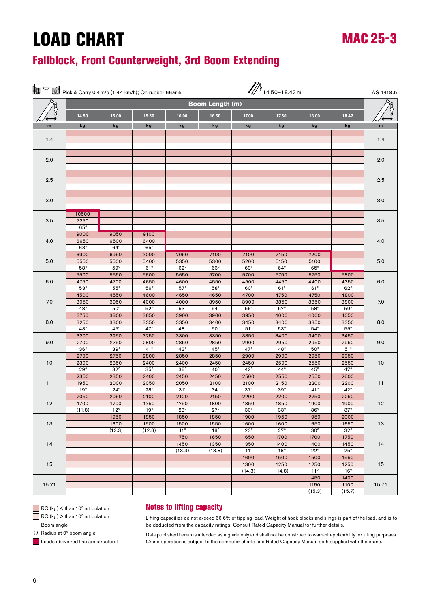### Fallblock, Front Counterweight, 3rd Boom Extending

|       |                                          | Figure 1.44 km/h); On rubber 66.6%         |                                              |                                          |                                            |                                            | $\mathbb{Z}$ 14.50-18.42 m               |                                          |                                            | AS 1418.5 |
|-------|------------------------------------------|--------------------------------------------|----------------------------------------------|------------------------------------------|--------------------------------------------|--------------------------------------------|------------------------------------------|------------------------------------------|--------------------------------------------|-----------|
|       |                                          |                                            |                                              |                                          | Boom Length (m)                            |                                            |                                          |                                          |                                            |           |
|       | 14.50                                    | 15.00                                      | 15.50                                        | 16.00                                    | 16.50                                      | 17.00                                      | 17.50                                    | 18.00                                    | 18.42                                      |           |
| m     | kg                                       | kg                                         | kg                                           | kg                                       | kg                                         | kg                                         | kg                                       | kg                                       | kg                                         | m         |
| 1.4   |                                          |                                            |                                              |                                          |                                            |                                            |                                          |                                          |                                            | 1.4       |
| 2.0   |                                          |                                            |                                              |                                          |                                            |                                            |                                          |                                          |                                            | 2.0       |
| 2.5   |                                          |                                            |                                              |                                          |                                            |                                            |                                          |                                          |                                            | 2.5       |
|       |                                          |                                            |                                              |                                          |                                            |                                            |                                          |                                          |                                            |           |
| 3.0   |                                          |                                            |                                              |                                          |                                            |                                            |                                          |                                          |                                            | 3.0       |
| 3.5   | 10500<br>7250<br>$65^\circ$              |                                            |                                              |                                          |                                            |                                            |                                          |                                          |                                            | 3.5       |
| 4.0   | 9000<br>6650<br>$63^\circ$               | 9050<br>6500<br>$64^\circ$                 | 9100<br>6400<br>$65^\circ$                   |                                          |                                            |                                            |                                          |                                          |                                            | 4.0       |
| 5.0   | 6900<br>5550<br>$58^\circ$               | 6950<br>5500<br>$59^\circ$                 | 7000<br>5400<br>$61^{\circ}$                 | 7050<br>5350<br>$62^\circ$               | 7100<br>5300<br>$63^\circ$                 | 7100<br>5200<br>$63^\circ$                 | 7150<br>5150<br>$64^\circ$               | 7200<br>5100<br>$65^\circ$               |                                            | 5.0       |
| 6.0   | 5500<br>4750<br>$53^\circ$               | 5550<br>4700<br>$55^{\circ}$               | 5600<br>4650<br>$56^\circ$                   | 5650<br>4600<br>$57^\circ$               | 5700<br>4550<br>$58^\circ$                 | 5700<br>4500<br>$60^\circ$                 | 5750<br>4450<br>$61^{\circ}$             | 5750<br>4400<br>$61^\circ$               | 5800<br>4350<br>$62^{\circ}$               | 6.0       |
| 7.0   | 4500<br>3950                             | 4550<br>3950                               | 4600<br>4000                                 | 4650<br>4000                             | 4650<br>3950                               | 4700<br>3900                               | 4750<br>3850                             | 4750<br>3850                             | 4800<br>3800                               | 7.0       |
| 8.0   | $48^\circ$<br>3750<br>3250<br>$43^\circ$ | $50^{\circ}$<br>3800<br>3300<br>$45^\circ$ | $52^{\circ}$<br>3850<br>3350<br>$47^{\circ}$ | $53^\circ$<br>3900<br>3350<br>$48^\circ$ | $54^{\circ}$<br>3900<br>3400<br>$50^\circ$ | $56^{\circ}$<br>3950<br>3450<br>$51^\circ$ | $57^\circ$<br>4000<br>3400<br>$53^\circ$ | $58^\circ$<br>4000<br>3350<br>$54^\circ$ | $59^\circ$<br>4050<br>3350<br>$55^{\circ}$ | 8.0       |
| 9.0   | 3200<br>2700<br>$36^\circ$               | 3250<br>2750<br>$39^\circ$                 | 3250<br>2800<br>$41^\circ$                   | 3300<br>2850<br>$43^\circ$               | 3350<br>2850<br>$45^\circ$                 | 3350<br>2900<br>47°                        | 3400<br>2950<br>$48^\circ$               | 3400<br>2950<br>$50^\circ$               | 3450<br>2950<br>$51^\circ$                 | 9.0       |
| 10    | 2700<br>2300<br>$29^\circ$               | 2750<br>2350<br>$32^{\circ}$               | 2800<br>2400<br>$35^\circ$                   | 2850<br>2400<br>$38^\circ$               | 2850<br>2450<br>$40^{\circ}$               | 2900<br>2450<br>$42^{\circ}$               | 2900<br>2500<br>$44^{\circ}$             | 2950<br>2550<br>$45^{\circ}$             | 2950<br>2550<br>47°                        | 10        |
| 11    | 2350<br>1950<br>$19^\circ$               | 2350<br>2000<br>$24^{\circ}$               | 2400<br>2050<br>$28^\circ$                   | 2450<br>2050<br>$31^\circ$               | 2450<br>2100<br>$34^\circ$                 | 2500<br>2100<br>$37^\circ$                 | 2550<br>2150<br>$39^\circ$               | 2550<br>2200<br>$41^{\circ}$             | 2600<br>2200<br>$42^{\circ}$               | 11        |
| 12    | 2050<br>1700<br>(11.8)                   | 2050<br>1700<br>$12^{\circ}$               | 2100<br>1750<br>$19^{\circ}$                 | 2100<br>1750<br>$23^\circ$               | 2150<br>1800<br>$27^\circ$                 | 2200<br>1850<br>$30^\circ$                 | 2200<br>1850<br>$33^\circ$               | 2250<br>1900<br>$36^\circ$               | 2250<br>1900<br>$37^\circ$                 | 12        |
| 13    |                                          | 1950<br>1600<br>(12.3)                     | 1850<br>1500<br>(12.8)                       | 1850<br>1500<br>$11^{\circ}$             | 1850<br>1550<br>$18^{\circ}$               | 1900<br>1600<br>$23^\circ$                 | 1950<br>1600<br>$27^{\circ}$             | 1950<br>1650<br>$30^{\circ}$             | 2000<br>1650<br>$32^{\circ}$               | 13        |
| 14    |                                          |                                            |                                              | 1750<br>1450<br>(13.3)                   | 1650<br>1350<br>(13.8)                     | 1650<br>1350<br>$11^{\circ}$               | 1700<br>1400<br>$18^{\circ}$             | 1700<br>1400<br>$22^{\circ}$             | 1750<br>1450<br>$25^{\circ}$               | 14        |
| 15    |                                          |                                            |                                              |                                          |                                            | 1600<br>1300<br>(14.3)                     | 1500<br>1250<br>(14.8)                   | 1500<br>1250<br>$11^{\circ}$             | 1550<br>1250<br>$16^{\circ}$               | 15        |
| 15.71 |                                          |                                            |                                              |                                          |                                            |                                            |                                          | 1450<br>1150<br>(15.3)                   | 1400<br>1100<br>(15.7)                     | 15.71     |

 $\Box$  RC (kg)  $\lt$  than 10 $\degree$  articulation

 $\Box$  RC (kg)  $>$  than 10 $^{\circ}$  articulation

Boom angle (1) Radius at 0° boom angle

**Loads above red line are structural** 

#### Notes to lifting capacity

Lifting capacities do not exceed 66.6% of tipping load. Weight of hook blocks and slings is part of the load, and is to be deducted from the capacity ratings. Consult Rated Capacity Manual for further details.

MAC 25-3

Data published herein is intended as a guide only and shall not be construed to warrant applicability for lifting purposes. Crane operation is subject to the computer charts and Rated Capacity Manual both supplied with the crane.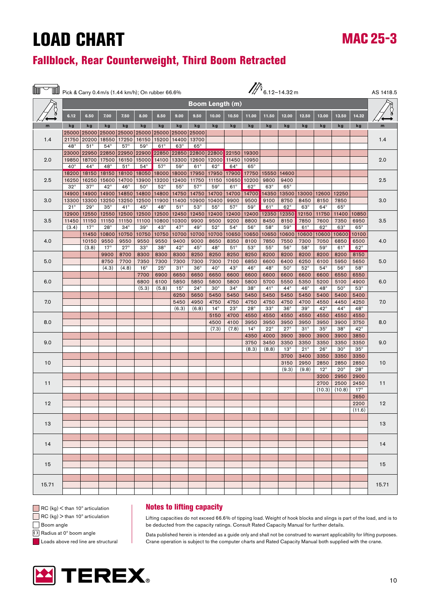### Fallblock, Rear Counterweight, Third Boom Retracted

|       | $\mathbb{Z}_{6.12-14.32m}$<br>Pick & Carry 0.4 m/s (1.44 km/h); On rubber 66.6% |                     |                     |                       |                       |                                                 |                     |                        |                       | AS 1418.5          |                    |                    |                    |                    |                    |                    |              |       |
|-------|---------------------------------------------------------------------------------|---------------------|---------------------|-----------------------|-----------------------|-------------------------------------------------|---------------------|------------------------|-----------------------|--------------------|--------------------|--------------------|--------------------|--------------------|--------------------|--------------------|--------------|-------|
|       |                                                                                 |                     |                     |                       |                       |                                                 |                     | <b>Boom Length (m)</b> |                       |                    |                    |                    |                    |                    |                    |                    |              |       |
|       | 6.12                                                                            | 6.50                | 7.00                | 7.50                  | 8.00                  | 8.50                                            | 9.00                | 9.50                   | 10.00                 | 10.50              | 11.00              | 11.50              | 12.00              | 12.50              | 13.00              | 13.50              | 14.32        |       |
| m     | kg                                                                              | kg                  | kg                  | kg                    | kg                    | kg                                              | kg                  | kg                     | kg                    | kg                 | kg                 | kg                 | kg                 | kg                 | kg                 | kg                 | kg           | m     |
|       |                                                                                 |                     |                     |                       |                       | 25000 25000 25000 25000 25000 25000 25000 25000 |                     |                        |                       |                    |                    |                    |                    |                    |                    |                    |              |       |
| 1.4   | 21750                                                                           | 20200               | 18550               | 17250                 | 16150                 | 15200                                           | 14400               | 13700                  |                       |                    |                    |                    |                    |                    |                    |                    |              | 1.4   |
|       | $48^\circ$<br>23000                                                             | $51^\circ$<br>22950 | $54^\circ$<br>22850 | $57^\circ$<br>22950   | $59^\circ$<br>22900   | $61^\circ$<br>22850                             | $63^\circ$<br>22850 | $65^\circ$<br>22800    | 22800                 | 22150              | 19300              |                    |                    |                    |                    |                    |              |       |
| 2.0   | 19850                                                                           | 18700               | 17500               | 16150                 | 15000                 | 14100                                           | 13300               | 12600                  | 12000                 | 11450              | 10950              |                    |                    |                    |                    |                    |              | 2.0   |
|       | $40^{\circ}$                                                                    | $44^{\circ}$        | $48^\circ$          | $51^\circ$            | $54^{\circ}$          | $57^\circ$                                      | $59^\circ$          | $61^\circ$             | $62^\circ$            | $64^\circ$         | $65^\circ$         |                    |                    |                    |                    |                    |              |       |
|       | 18200                                                                           | 18150               | 18150               | 18100                 | 18050                 | 18000                                           | 18000               | 17950                  | 17950                 | 17900              | 17750              | 15550              | 14600              |                    |                    |                    |              |       |
| 2.5   | 16250                                                                           | 16250               | 15600               | 14700                 | 13900                 | 13200                                           | 12400               | 11750                  | 11150                 | 10650              | 10200              | 9800               | 9400               |                    |                    |                    |              | 2.5   |
|       | $32^{\circ}$                                                                    | $37^\circ$          | $42^{\circ}$        | $46^\circ$            | $50^{\circ}$          | $52^{\circ}$                                    | $55^{\circ}$        | $57^\circ$             | $59^\circ$            | $61^\circ$         | $62^\circ$         | $63^\circ$         | $65^\circ$         |                    |                    |                    |              |       |
|       | 14900                                                                           | 14900               | 14900               | 14850                 | 14800                 | 14800                                           | 14750               | 14750                  | 14700                 | 14700              | 14700              | 14350              | 13500              |                    | 13000 12600        | 12250              |              |       |
| 3.0   | 13300<br>$21^{\circ}$                                                           | 13300<br>$29^\circ$ | 13250<br>$35^\circ$ | 13250<br>$41^{\circ}$ | 12500<br>$45^{\circ}$ | 11900<br>$48^\circ$                             | 11400<br>$51^\circ$ | 10900<br>$53^\circ$    | 10400<br>$55^{\circ}$ | 9900<br>$57^\circ$ | 9500<br>$59^\circ$ | 9100<br>$61^\circ$ | 8750<br>$62^\circ$ | 8450<br>$63^\circ$ | 8150<br>$64^\circ$ | 7850<br>$65^\circ$ |              | 3.0   |
|       | 12900                                                                           | 12550               | 12550               | 12500                 | 12500                 | 12500                                           | 12450               | 12450                  | 12400                 | 12400              | 12400              | 12350              | 12350              | 12150              | 11750              | 11400              | 10850        |       |
| 3.5   | 11450                                                                           | 11150               | 11150               | 11150                 | 11100                 | 10800                                           | 10300               | 9900                   | 9500                  | 9200               | 8800               | 8450               | 8150               | 7850               | 7600               | 7350               | 6950         | 3.5   |
|       | (3.4)                                                                           | $17^{\circ}$        | $28^\circ$          | $34^\circ$            | $39^\circ$            | $43^\circ$                                      | $47^\circ$          | $49^\circ$             | $52^{\circ}$          | $54^\circ$         | $56^\circ$         | $58^\circ$         | $59^\circ$         | $61^{\circ}$       | $62^{\circ}$       | $63^\circ$         | $65^\circ$   |       |
|       |                                                                                 | 11450               | 10800               | 10750                 | 10750                 | 10750                                           | 10700               | 10700                  | 10700                 | 10650              | 10650              | 10650              | 10600              | 10600              | 10600              | 10600              | 10100        |       |
| 4.0   |                                                                                 | 10150               | 9550                | 9550                  | 9550                  | 9550                                            | 9400                | 9000                   | 8650                  | 8350               | 8100               | 7850               | 7550               | 7300               | 7050               | 6850               | 6500         | 4.0   |
|       |                                                                                 | (3.8)               | $17^{\circ}$        | $27^\circ$            | $33^\circ$            | $38^\circ$                                      | $42^{\circ}$        | $45^{\circ}$           | $48^\circ$            | $51^\circ$         | $53^\circ$         | $55^{\circ}$       | $56^\circ$         | $58^\circ$         | $59^\circ$         | $61^\circ$         | $62^\circ$   |       |
|       |                                                                                 |                     | 9900                | 8700                  | 8300                  | 8300                                            | 8300                | 8250                   | 8250                  | 8250               | 8250               | 8200               | 8200               | 8200               | 8200               | 8200               | 8150         | 5.0   |
| 5.0   |                                                                                 |                     | 8750                | 7700                  | 7350                  | 7300                                            | 7300                | 7300                   | 7300                  | 7100               | 6850               | 6600               | 6400               | 6250               | 6100               | 5950               | 5650         |       |
|       |                                                                                 |                     | (4.3)               | (4.8)                 | $16^{\circ}$          | $25^{\circ}$                                    | $31^\circ$          | $36^\circ$             | $40^{\circ}$          | $43^\circ$         | $46^{\circ}$       | $48^\circ$         | $50^{\circ}$       | $52^{\circ}$       | $54^\circ$         | $56^\circ$         | $58^\circ$   |       |
| 6.0   |                                                                                 |                     |                     |                       | 7700<br>6800          | 6900<br>6100                                    | 6650<br>5850        | 6650<br>5850           | 6650<br>5800          | 6600<br>5800       | 6600<br>5800       | 6600<br>5700       | 6600<br>5550       | 6600<br>5350       | 6600<br>5200       | 6550<br>5100       | 6550<br>4900 | 6.0   |
|       |                                                                                 |                     |                     |                       | (5.3)                 | (5.8)                                           | $15^{\circ}$        | $24^\circ$             | $30^\circ$            | $34^\circ$         | $38^\circ$         | $41^\circ$         | $44^{\circ}$       | $46^{\circ}$       | $48^\circ$         | $50^\circ$         | $53^\circ$   |       |
|       |                                                                                 |                     |                     |                       |                       |                                                 | 6250                | 5650                   | 5450                  | 5450               | 5450               | 5450               | 5450               | 5450               | 5400               | 5400               | 5400         |       |
| 7.0   |                                                                                 |                     |                     |                       |                       |                                                 | 5450                | 4950                   | 4750                  | 4750               | 4750               | 4750               | 4750               | 4700               | 4550               | 4450               | 4250         | 7.0   |
|       |                                                                                 |                     |                     |                       |                       |                                                 | (6.3)               | (6.8)                  | $14^{\circ}$          | $23^\circ$         | $28^\circ$         | $33^\circ$         | $36^\circ$         | $39^\circ$         | $42^{\circ}$       | $44^{\circ}$       | $48^\circ$   |       |
|       |                                                                                 |                     |                     |                       |                       |                                                 |                     |                        | 5150                  | 4700               | 4550               | 4550               | 4550               | 4550               | 4550               | 4550               | 4550         |       |
| 8.0   |                                                                                 |                     |                     |                       |                       |                                                 |                     |                        | 4500                  | 4100               | 3950               | 3950               | 3950               | 3950               | 3950               | 3900               | 3750         | 8.0   |
|       |                                                                                 |                     |                     |                       |                       |                                                 |                     |                        | (7.3)                 | (7.8)              | $14^{\circ}$       | $22^{\circ}$       | $27^\circ$         | $31^\circ$         | $35^\circ$         | $38^\circ$         | $42^{\circ}$ |       |
| 9.0   |                                                                                 |                     |                     |                       |                       |                                                 |                     |                        |                       |                    | 4350<br>3750       | 4000<br>3450       | 3900<br>3350       | 3900<br>3350       | 3900<br>3350       | 3900<br>3350       | 3850<br>3350 | 9.0   |
|       |                                                                                 |                     |                     |                       |                       |                                                 |                     |                        |                       |                    | (8.3)              | (8.8)              | $13^\circ$         | $21^{\circ}$       | $26^{\circ}$       | $30^{\circ}$       | $35^\circ$   |       |
|       |                                                                                 |                     |                     |                       |                       |                                                 |                     |                        |                       |                    |                    |                    | 3700               | 3400               | 3350               | 3350               | 3350         |       |
| 10    |                                                                                 |                     |                     |                       |                       |                                                 |                     |                        |                       |                    |                    |                    | 3150               | 2950               | 2850               | 2850               | 2850         | 10    |
|       |                                                                                 |                     |                     |                       |                       |                                                 |                     |                        |                       |                    |                    |                    | (9.3)              | (9.8)              | $12^{\circ}$       | $20^{\circ}$       | $28^\circ$   |       |
|       |                                                                                 |                     |                     |                       |                       |                                                 |                     |                        |                       |                    |                    |                    |                    |                    | 3200               | 2950               | 2900         |       |
| 11    |                                                                                 |                     |                     |                       |                       |                                                 |                     |                        |                       |                    |                    |                    |                    |                    | 2700               | 2500               | 2450         | 11    |
|       |                                                                                 |                     |                     |                       |                       |                                                 |                     |                        |                       |                    |                    |                    |                    |                    | (10.3)             | (10.8)             | 17°          |       |
| 12    |                                                                                 |                     |                     |                       |                       |                                                 |                     |                        |                       |                    |                    |                    |                    |                    |                    |                    | 2650<br>2200 | 12    |
|       |                                                                                 |                     |                     |                       |                       |                                                 |                     |                        |                       |                    |                    |                    |                    |                    |                    |                    | (11.6)       |       |
|       |                                                                                 |                     |                     |                       |                       |                                                 |                     |                        |                       |                    |                    |                    |                    |                    |                    |                    |              |       |
| 13    |                                                                                 |                     |                     |                       |                       |                                                 |                     |                        |                       |                    |                    |                    |                    |                    |                    |                    |              | 13    |
|       |                                                                                 |                     |                     |                       |                       |                                                 |                     |                        |                       |                    |                    |                    |                    |                    |                    |                    |              |       |
|       |                                                                                 |                     |                     |                       |                       |                                                 |                     |                        |                       |                    |                    |                    |                    |                    |                    |                    |              |       |
| 14    |                                                                                 |                     |                     |                       |                       |                                                 |                     |                        |                       |                    |                    |                    |                    |                    |                    |                    |              | 14    |
|       |                                                                                 |                     |                     |                       |                       |                                                 |                     |                        |                       |                    |                    |                    |                    |                    |                    |                    |              |       |
|       |                                                                                 |                     |                     |                       |                       |                                                 |                     |                        |                       |                    |                    |                    |                    |                    |                    |                    |              |       |
| 15    |                                                                                 |                     |                     |                       |                       |                                                 |                     |                        |                       |                    |                    |                    |                    |                    |                    |                    |              | 15    |
|       |                                                                                 |                     |                     |                       |                       |                                                 |                     |                        |                       |                    |                    |                    |                    |                    |                    |                    |              |       |
| 15.71 |                                                                                 |                     |                     |                       |                       |                                                 |                     |                        |                       |                    |                    |                    |                    |                    |                    |                    |              | 15.71 |
|       |                                                                                 |                     |                     |                       |                       |                                                 |                     |                        |                       |                    |                    |                    |                    |                    |                    |                    |              |       |

 $\Box$  RC (kg)  $\lt$  than 10 $\degree$  articulation

 $\Box$  RC (kg)  $>$  than 10 $^{\circ}$  articulation

Boom angle

() Radius at 0° boom angle

Loads above red line are structural

#### Notes to lifting capacity

Lifting capacities do not exceed 66.6% of tipping load. Weight of hook blocks and slings is part of the load, and is to be deducted from the capacity ratings. Consult Rated Capacity Manual for further details.

Data published herein is intended as a guide only and shall not be construed to warrant applicability for lifting purposes. Crane operation is subject to the computer charts and Rated Capacity Manual both supplied with the crane.

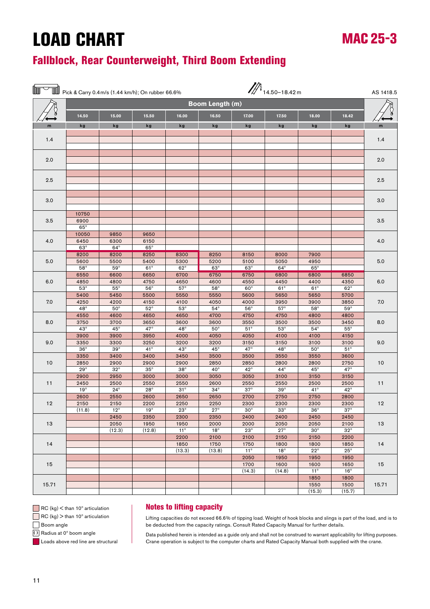### Fallblock, Rear Counterweight, Third Boom Extending

|       |                             |                              | Fick & Carry 0.4 m/s (1.44 km/h); On rubber 66.6% |                            |                              |                              | $\mathbb{Z}$ 14.50-18.42 m |                              |                              | AS 1418.5 |
|-------|-----------------------------|------------------------------|---------------------------------------------------|----------------------------|------------------------------|------------------------------|----------------------------|------------------------------|------------------------------|-----------|
|       | Boom Length (m)             |                              |                                                   |                            |                              |                              |                            |                              |                              |           |
|       | 14.50                       | 15.00                        | 15.50                                             | 16.00                      | 16.50                        | 17.00                        | 17.50                      | 18.00                        | 18.42                        |           |
| m     | kg                          | kg                           | kg                                                | kg                         | kg                           | kg                           | kg                         | kg                           | kg                           | m         |
| 1.4   |                             |                              |                                                   |                            |                              |                              |                            |                              |                              | 1.4       |
| 2.0   |                             |                              |                                                   |                            |                              |                              |                            |                              |                              | 2.0       |
| 2.5   |                             |                              |                                                   |                            |                              |                              |                            |                              |                              | 2.5       |
| 3.0   |                             |                              |                                                   |                            |                              |                              |                            |                              |                              | 3.0       |
|       |                             |                              |                                                   |                            |                              |                              |                            |                              |                              |           |
| 3.5   | 10750<br>6900<br>$65^\circ$ |                              |                                                   |                            |                              |                              |                            |                              |                              | 3.5       |
| 4.0   | 10050<br>6450<br>$63^\circ$ | 9850<br>6300<br>$64^\circ$   | 9650<br>6150<br>$65^\circ$                        |                            |                              |                              |                            |                              |                              | 4.0       |
| 5.0   | 8200<br>5600<br>$58^\circ$  | 8200<br>5500<br>$59^\circ$   | 8250<br>5400<br>$61^\circ$                        | 8300<br>5300<br>$62^\circ$ | 8250<br>5200<br>$63^\circ$   | 8150<br>5100<br>$63^\circ$   | 8000<br>5050<br>$64^\circ$ | 7900<br>4950<br>$65^\circ$   |                              | 5.0       |
| 6.0   | 6550<br>4850                | 6600<br>4800                 | 6650<br>4750                                      | 6700<br>4650               | 6750<br>4600                 | 6750<br>4550                 | 6800<br>4450               | 6800<br>4400                 | 6850<br>4350                 | 6.0       |
| 7.0   | $53^\circ$<br>5400<br>4250  | $55^{\circ}$<br>5450<br>4200 | $56^{\circ}$<br>5500<br>4150                      | $57^\circ$<br>5550<br>4100 | $58^\circ$<br>5550<br>4050   | $60^\circ$<br>5600<br>4000   | $61^\circ$<br>5650<br>3950 | $61^\circ$<br>5650<br>3900   | $62^\circ$<br>5700<br>3850   | 7.0       |
|       | $48^\circ$<br>4550          | $50^\circ$<br>4600           | $52^{\circ}$<br>4650                              | $53^\circ$<br>4650         | $54^\circ$<br>4700           | $56^{\circ}$<br>4750         | $57^\circ$<br>4750         | $58^\circ$<br>4800           | $59^\circ$<br>4800           |           |
| 8.0   | 3750<br>$43^\circ$          | 3700<br>$45^{\circ}$         | 3650<br>47°                                       | 3600<br>$48^\circ$         | 3600<br>$50^\circ$           | 3550<br>$51^\circ$           | 3500<br>$53^\circ$         | 3500<br>$54^\circ$           | 3450<br>$55^{\circ}$         | 8.0       |
| 9.0   | 3900<br>3350<br>$36^\circ$  | 3900<br>3300<br>$39^\circ$   | 3950<br>3250<br>$41^{\circ}$                      | 4000<br>3200<br>$43^\circ$ | 4050<br>3200<br>$45^{\circ}$ | 4050<br>3150<br>$47^{\circ}$ | 4100<br>3150<br>$48^\circ$ | 4100<br>3100<br>$50^{\circ}$ | 4150<br>3100<br>$51^{\circ}$ | 9.0       |
| 10    | 3350<br>2850                | 3400<br>2900                 | 3400<br>2900                                      | 3450<br>2900               | 3500<br>2850                 | 3500<br>2850                 | 3550<br>2800               | 3550<br>2800                 | 3600<br>2750                 | 10        |
|       | $29^\circ$<br>2900          | $32^{\circ}$<br>2950         | $35^\circ$<br>3000                                | $38^\circ$<br>3000         | $40^{\circ}$<br>3050         | $42^{\circ}$<br>3050         | $44^{\circ}$<br>3100       | $45^{\circ}$<br>3150         | $47^{\circ}$<br>3150         |           |
| 11    | 2450<br>$19^\circ$          | 2500<br>$24^{\circ}$         | 2550<br>$28^\circ$                                | 2550<br>$31^\circ$         | 2600<br>$34^\circ$           | 2550<br>$37^\circ$           | 2550<br>$39^\circ$         | 2500<br>$41^\circ$           | 2500<br>$42^{\circ}$         | 11        |
| 12    | 2600<br>2150                | 2550<br>2150                 | 2600<br>2200                                      | 2650<br>2250               | 2650<br>2250                 | 2700<br>2300                 | 2750<br>2300               | 2750<br>2300                 | 2800<br>2300                 | 12        |
| 13    | (11.8)                      | $12^{\circ}$<br>2450<br>2050 | $19^{\circ}$<br>2350<br>1950                      | $23^\circ$<br>2300<br>1950 | $27^\circ$<br>2350<br>2000   | $30^\circ$<br>2400<br>2000   | $33^\circ$<br>2400<br>2050 | $36^\circ$<br>2450<br>2050   | $37^\circ$<br>2450<br>2100   | 13        |
|       |                             | (12.3)                       | (12.8)                                            | $11^{\circ}$<br>2200       | $18^{\circ}$<br>2100         | $23^\circ$<br>2100           | $27^{\circ}$<br>2150       | $30^{\circ}$<br>2150         | $32^{\circ}$<br>2200         |           |
| 14    |                             |                              |                                                   | 1850<br>(13.3)             | 1750<br>(13.8)               | 1750<br>$11^{\circ}$         | 1800<br>$18^{\circ}$       | 1800<br>$22^{\circ}$         | 1850<br>$25^{\circ}$         | 14        |
| 15    |                             |                              |                                                   |                            |                              | 2050<br>1700<br>(14.3)       | 1950<br>1600<br>(14.8)     | 1950<br>1600<br>$11^{\circ}$ | 1950<br>1650<br>$16^{\circ}$ | 15        |
| 15.71 |                             |                              |                                                   |                            |                              |                              |                            | 1850<br>1550<br>(15.3)       | 1800<br>1500<br>(15.7)       | 15.71     |

 $\Box$  RC (kg)  $\lt$  than 10 $\degree$  articulation

 $\Box$  RC (kg)  $>$  than 10 $^{\circ}$  articulation

Boom angle

(1) Radius at 0° boom angle

**Loads above red line are structural** 

#### Notes to lifting capacity

Lifting capacities do not exceed 66.6% of tipping load. Weight of hook blocks and slings is part of the load, and is to be deducted from the capacity ratings. Consult Rated Capacity Manual for further details.

MAC 25-3

Data published herein is intended as a guide only and shall not be construed to warrant applicability for lifting purposes. Crane operation is subject to the computer charts and Rated Capacity Manual both supplied with the crane.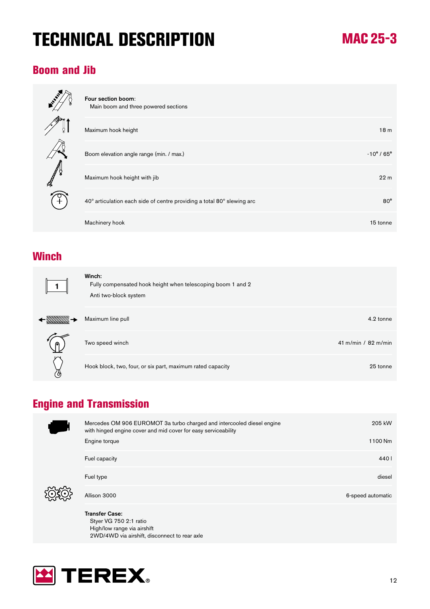## TECHNICAL DESCRIPTION

### Boom and Jib



| Four section boom:<br>Main boom and three powered sections             |                               |
|------------------------------------------------------------------------|-------------------------------|
| Maximum hook height                                                    | 18 <sub>m</sub>               |
| Boom elevation angle range (min. / max.)                               | $-10^{\circ}$ / 65 $^{\circ}$ |
| Maximum hook height with jib                                           | 22 <sub>m</sub>               |
| 40° articulation each side of centre providing a total 80° slewing arc | $80^\circ$                    |
| Machinery hook                                                         | 15 tonne                      |

### **Winch**

 $\leftarrow$ 

|           | Winch:<br>Fully compensated hook height when telescoping boom 1 and 2<br>Anti two-block system |                       |
|-----------|------------------------------------------------------------------------------------------------|-----------------------|
|           | Maximum line pull                                                                              | 4.2 tonne             |
| $\bigcap$ | Two speed winch                                                                                | 41 m/min / $82$ m/min |
| ዄ         | Hook block, two, four, or six part, maximum rated capacity                                     | 25 tonne              |

### Engine and Transmission



 Styer VG 750 2:1 ratio High/low range via airshift 2WD/4WD via airshift, disconnect to rear axle

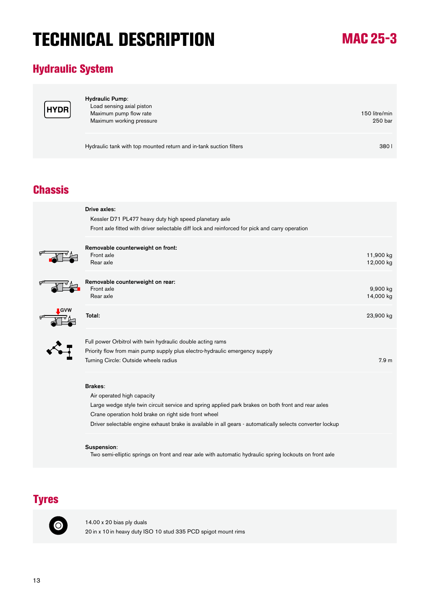## TECHNICAL DESCRIPTION

## MAC 25-3

### Hydraulic System



| <b>Hydraulic Pump:</b><br>Load sensing axial piston<br>Maximum pump flow rate<br>Maximum working pressure | 150 litre/min<br>250 bar |
|-----------------------------------------------------------------------------------------------------------|--------------------------|
| Hydraulic tank with top mounted return and in-tank suction filters                                        | 380 <sub>1</sub>         |

### **Chassis**

| Drive axles:<br>Kessler D71 PL477 heavy duty high speed planetary axle<br>Front axle fitted with driver selectable diff lock and reinforced for pick and carry operation                                   |                        |
|------------------------------------------------------------------------------------------------------------------------------------------------------------------------------------------------------------|------------------------|
| Removable counterweight on front:<br>Front axle<br>Rear axle                                                                                                                                               | 11,900 kg<br>12,000 kg |
| Removable counterweight on rear:<br>Front axle<br>Rear axle                                                                                                                                                | 9,900 kg<br>14,000 kg  |
| Total:                                                                                                                                                                                                     | 23,900 kg              |
| Full power Orbitrol with twin hydraulic double acting rams<br>Priority flow from main pump supply plus electro-hydraulic emergency supply<br>Turning Circle: Outside wheels radius                         | 7.9 <sub>m</sub>       |
| <b>Brakes:</b><br>Air operated high capacity<br>Large wedge style twin circuit service and spring applied park brakes on both front and rear axles<br>Crane operation hold brake on right side front wheel |                        |

Driver selectable engine exhaust brake is available in all gears - automatically selects converter lockup

#### Suspension:

Two semi-elliptic springs on front and rear axle with automatic hydraulic spring lockouts on front axle

### Tyres



14.00 x 20 bias ply duals 20 in x 10 in heavy duty ISO 10 stud 335 PCD spigot mount rims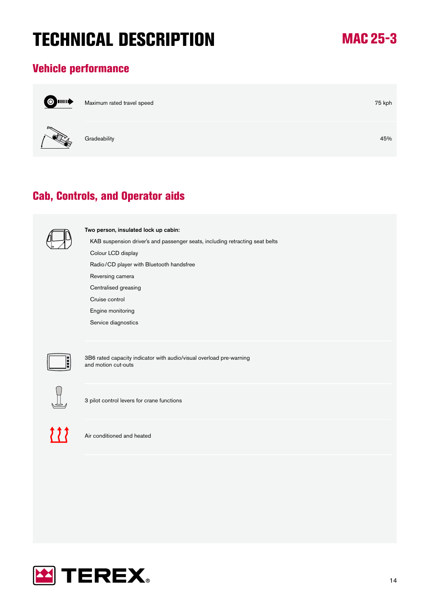## TECHNICAL DESCRIPTION

## MAC 25-3

### Vehicle performance



Maximum rated travel speed **75** kph



Gradeability 45%

### Cab, Controls, and Operator aids



Two person, insulated lock up cabin:

KAB suspension driver's and passenger seats, including retracting seat belts

 Colour LCD display Radio/CD player with Bluetooth handsfree

Reversing camera

Centralised greasing

Cruise control

Engine monitoring

Service diagnostics



3B6 rated capacity indicator with audio/visual overload pre-warning and motion cut-outs



3 pilot control levers for crane functions



Air conditioned and heated

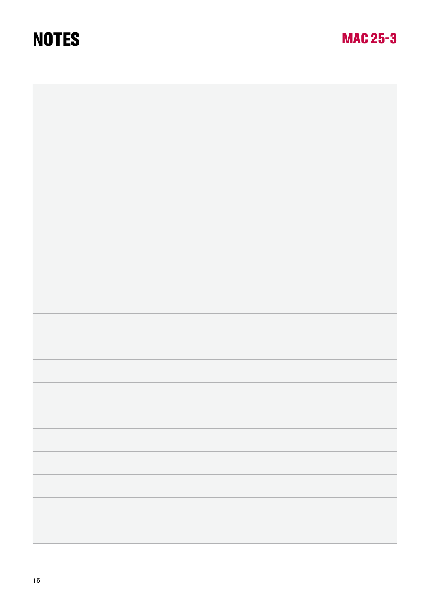## **NOTES**